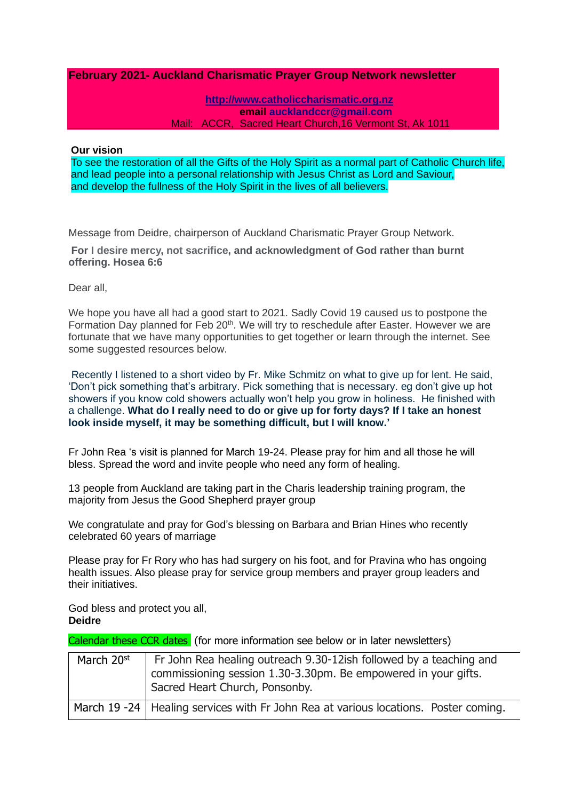# **February 2021- Auckland Charismatic Prayer Group Network newsletter**

**[http://www.catholiccharismatic.org.nz](http://www.catholiccharismatic.org.nz/)  email [aucklandccr@gmail.com](mailto:aucklandccr@gmail.com)** Mail: ACCR, Sacred Heart Church,16 Vermont St, Ak 1011

#### **Our vision**

To see the restoration of all the Gifts of the Holy Spirit as a normal part of Catholic Church life, and lead people into a personal relationship with Jesus Christ as Lord and Saviour, and develop the fullness of the Holy Spirit in the lives of all believers.

Message from Deidre, chairperson of Auckland Charismatic Prayer Group Network.

**For I desire mercy, not sacrifice, and acknowledgment of God rather than burnt offering. Hosea 6:6**

Dear all,

We hope you have all had a good start to 2021. Sadly Covid 19 caused us to postpone the Formation Day planned for Feb 20<sup>th</sup>. We will try to reschedule after Easter. However we are fortunate that we have many opportunities to get together or learn through the internet. See some suggested resources below.

Recently I listened to a short video by Fr. Mike Schmitz on what to give up for lent. He said, 'Don't pick something that's arbitrary. Pick something that is necessary. eg don't give up hot showers if you know cold showers actually won't help you grow in holiness. He finished with a challenge. **What do I really need to do or give up for forty days? If I take an honest look inside myself, it may be something difficult, but I will know.'**

Fr John Rea 's visit is planned for March 19-24. Please pray for him and all those he will bless. Spread the word and invite people who need any form of healing.

13 people from Auckland are taking part in the Charis leadership training program, the majority from Jesus the Good Shepherd prayer group

We congratulate and pray for God's blessing on Barbara and Brian Hines who recently celebrated 60 years of marriage

Please pray for Fr Rory who has had surgery on his foot, and for Pravina who has ongoing health issues. Also please pray for service group members and prayer group leaders and their initiatives.

God bless and protect you all, **Deidre**

Calendar these CCR dates (for more information see below or in later newsletters)

| March 20st | Fr John Rea healing outreach 9.30-12ish followed by a teaching and<br>commissioning session 1.30-3.30pm. Be empowered in your gifts.<br>Sacred Heart Church, Ponsonby. |
|------------|------------------------------------------------------------------------------------------------------------------------------------------------------------------------|
|            | March 19 -24   Healing services with Fr John Rea at various locations. Poster coming.                                                                                  |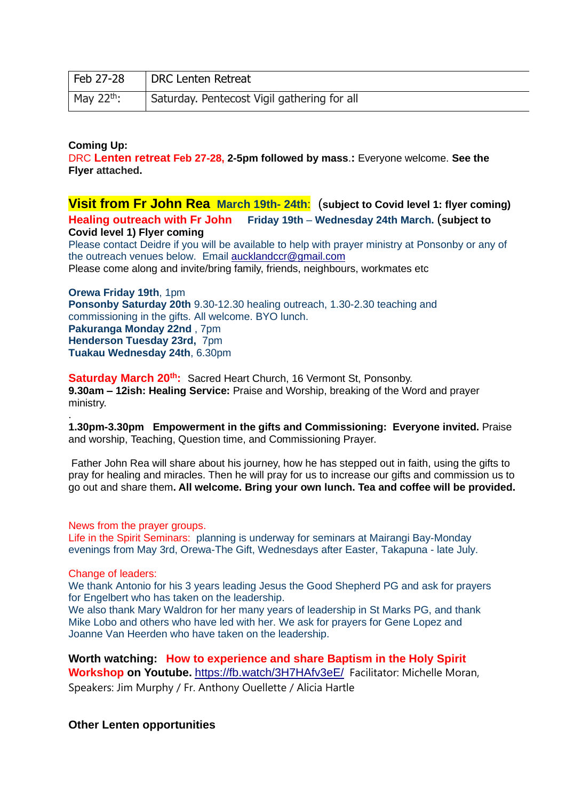| Feb 27-28       | <b>DRC Lenten Retreat</b>                   |
|-----------------|---------------------------------------------|
| May $22^{th}$ : | Saturday. Pentecost Vigil gathering for all |

# **Coming Up:**

DRC **Lenten retreat Feb 27-28, 2-5pm followed by mass**.**:** Everyone welcome. **See the Flyer attached.**

**Visit from Fr John Rea March 19th- 24th**: (**subject to Covid level 1: flyer coming) Healing outreach with Fr John Friday 19th** – **Wednesday 24th March.** (**subject to Covid level 1) Flyer coming**  Please contact Deidre if you will be available to help with prayer ministry at Ponsonby or any of the outreach venues below. Email [aucklandccr@gmail.com](mailto:aucklandccr@gmail.com) Please come along and invite/bring family, friends, neighbours, workmates etc

**Orewa Friday 19th**, 1pm **Ponsonby Saturday 20th** 9.30-12.30 healing outreach, 1.30-2.30 teaching and commissioning in the gifts. All welcome. BYO lunch. **Pakuranga Monday 22nd** , 7pm **Henderson Tuesday 23rd,** 7pm **Tuakau Wednesday 24th**, 6.30pm

Saturday March 20<sup>th</sup>: Sacred Heart Church, 16 Vermont St, Ponsonby. **9.30am – 12ish: Healing Service:** Praise and Worship, breaking of the Word and prayer ministry.

**1.30pm-3.30pm Empowerment in the gifts and Commissioning: Everyone invited.** Praise and worship, Teaching, Question time, and Commissioning Prayer.

Father John Rea will share about his journey, how he has stepped out in faith, using the gifts to pray for healing and miracles. Then he will pray for us to increase our gifts and commission us to go out and share them**. All welcome. Bring your own lunch. Tea and coffee will be provided.**

### News from the prayer groups.

Life in the Spirit Seminars: planning is underway for seminars at Mairangi Bay-Monday evenings from May 3rd, Orewa-The Gift, Wednesdays after Easter, Takapuna - late July.

#### Change of leaders:

.

We thank Antonio for his 3 years leading Jesus the Good Shepherd PG and ask for prayers for Engelbert who has taken on the leadership.

We also thank Mary Waldron for her many years of leadership in St Marks PG, and thank Mike Lobo and others who have led with her. We ask for prayers for Gene Lopez and Joanne Van Heerden who have taken on the leadership.

**Worth watching: How to experience and share Baptism in the Holy Spirit Workshop on Youtube.** <https://fb.watch/3H7HAfv3eE/> Facilitator: Michelle Moran, Speakers: Jim Murphy / Fr. Anthony Ouellette / Alicia Hartle

### **Other Lenten opportunities**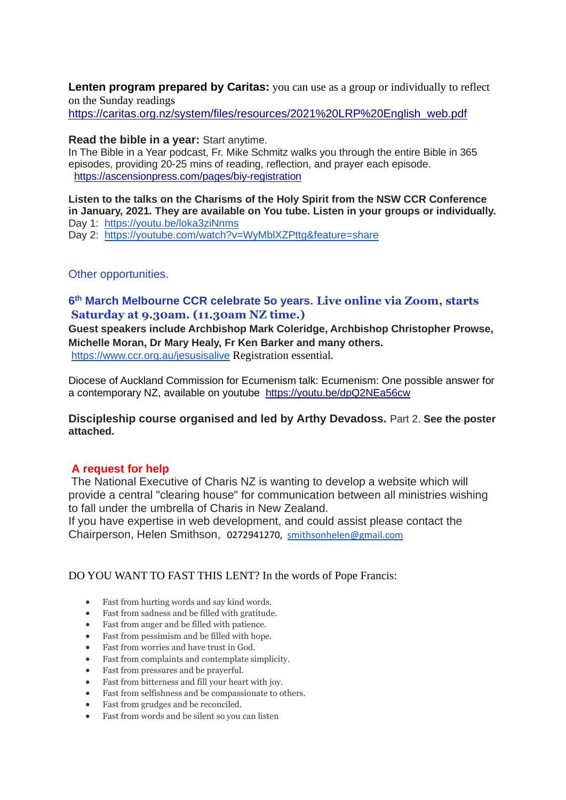**Lenten program prepared by Caritas:** you can use as a group or individually to reflect on the Sunday readings [https://caritas.org.nz/system/files/resources/2021%20LRP%20English\\_web.pdf](https://caritas.org.nz/system/files/resources/2021%20LRP%20English_web.pdf)

# **Read the bible in a year:** Start anytime.

In The Bible in a Year podcast, Fr. Mike Schmitz walks you through the entire Bible in 365 episodes, providing 20-25 mins of reading, reflection, and prayer each episode. <https://ascensionpress.com/pages/biy-registration>

**Listen to the talks on the Charisms of the Holy Spirit from the NSW CCR Conference in January, 2021. They are available on You tube. Listen in your groups or individually.** Day 1: <https://youtu.be/loka3ziNnms>

Day 2: <https://youtube.com/watch?v=WyMblXZPttg&feature=share>

# Other opportunities.

# **6 th March Melbourne CCR celebrate 5o years. Live online via Zoom, starts Saturday at 9.30am. (11.30am NZ time.)**

**Guest speakers include Archbishop Mark Coleridge, Archbishop Christopher Prowse, Michelle Moran, Dr Mary Healy, Fr Ken Barker and many others.** <https://www.ccr.org.au/jesusisalive> Registration essential.

Diocese of Auckland Commission for Ecumenism talk: Ecumenism: One possible answer for a contemporary NZ, available on youtube <https://youtu.be/dpQ2NEa56cw>

**Discipleship course organised and led by Arthy Devadoss.** Part 2. **See the poster attached.**

# **A request for help**

The National Executive of Charis NZ is wanting to develop a website which will provide a central "clearing house" for communication between all ministries wishing to fall under the umbrella of Charis in New Zealand.

If you have expertise in web development, and could assist please contact the Chairperson, Helen Smithson, 0272941270, [smithsonhelen@gmail.com](mailto:smithsonhelen@gmail.com)

# DO YOU WANT TO FAST THIS LENT? In the words of Pope Francis:

- Fast from hurting words and say kind words.
- Fast from sadness and be filled with gratitude.
- Fast from anger and be filled with patience.
- Fast from pessimism and be filled with hope.
- Fast from worries and have trust in God.
- Fast from complaints and contemplate simplicity.
- Fast from pressures and be prayerful.
- Fast from bitterness and fill your heart with joy.
- Fast from selfishness and be compassionate to others.
- Fast from grudges and be reconciled.
- Fast from words and be silent so you can listen